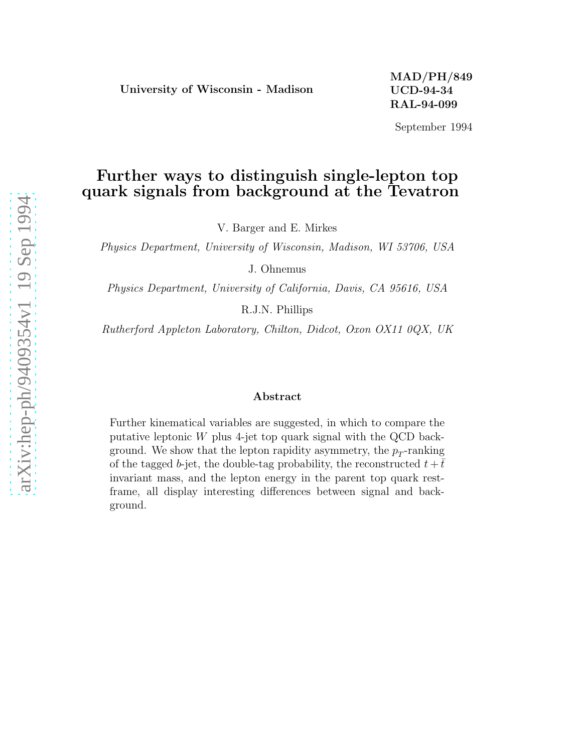September 1994

# Further ways to distinguish single-lepton top quark signals from background at the Tevatron

V. Barger and E. Mirkes

Physics Department, University of Wisconsin, Madison, WI 53706, USA

J. Ohnemus

Physics Department, University of California, Davis, CA 95616, USA

R.J.N. Phillips

Rutherford Appleton Laboratory, Chilton, Didcot, Oxon OX11 0QX, UK

### Abstract

Further kinematical variables are suggested, in which to compare the putative leptonic W plus 4-jet top quark signal with the QCD background. We show that the lepton rapidity asymmetry, the  $p_T$ -ranking of the tagged b-jet, the double-tag probability, the reconstructed  $t + \bar{t}$ invariant mass, and the lepton energy in the parent top quark restframe, all display interesting differences between signal and background.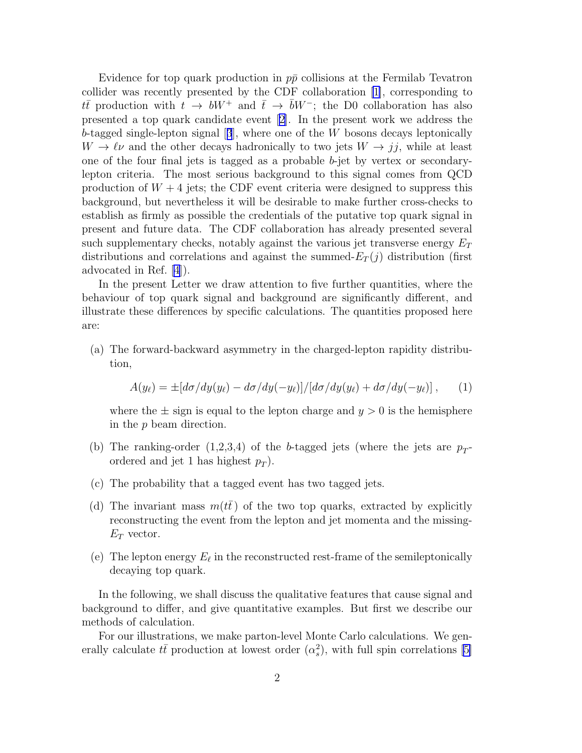Evidence for top quark production in  $p\bar{p}$  collisions at the Fermilab Tevatron collider was recently presented by the CDF collaboration [\[1](#page-6-0)], corresponding to  $t\bar{t}$  production with  $t \to bW^+$  and  $\bar{t} \to \bar{b}W^-$ ; the D0 collaboration has also presented a top quark candidate event [\[2\]](#page-6-0). In the present work we address the b-taggedsingle-lepton signal  $[3]$  $[3]$  $[3]$ , where one of the W bosons decays leptonically  $W \to \ell \nu$  and the other decays hadronically to two jets  $W \to jj$ , while at least one of the four final jets is tagged as a probable  $b$ -jet by vertex or secondarylepton criteria. The most serious background to this signal comes from QCD production of  $W + 4$  jets; the CDF event criteria were designed to suppress this background, but nevertheless it will be desirable to make further cross-checks to establish as firmly as possible the credentials of the putative top quark signal in present and future data. The CDF collaboration has already presented several such supplementary checks, notably against the various jet transverse energy  $E_T$ distributions and correlations and against the summed- $E_T(j)$  distribution (first advocated in Ref. [\[4](#page-6-0)]).

In the present Letter we draw attention to five further quantities, where the behaviour of top quark signal and background are significantly different, and illustrate these differences by specific calculations. The quantities proposed here are:

(a) The forward-backward asymmetry in the charged-lepton rapidity distribution,

$$
A(y_{\ell}) = \pm [d\sigma/dy(y_{\ell}) - d\sigma/dy(-y_{\ell})]/[d\sigma/dy(y_{\ell}) + d\sigma/dy(-y_{\ell})], \qquad (1)
$$

where the  $\pm$  sign is equal to the lepton charge and  $y > 0$  is the hemisphere in the p beam direction.

- (b) The ranking-order  $(1,2,3,4)$  of the b-tagged jets (where the jets are  $p_T$ ordered and jet 1 has highest  $p_T$ ).
- (c) The probability that a tagged event has two tagged jets.
- (d) The invariant mass  $m(t\bar{t})$  of the two top quarks, extracted by explicitly reconstructing the event from the lepton and jet momenta and the missing- $E_T$  vector.
- (e) The lepton energy  $E_{\ell}$  in the reconstructed rest-frame of the semileptonically decaying top quark.

In the following, we shall discuss the qualitative features that cause signal and background to differ, and give quantitative examples. But first we describe our methods of calculation.

For our illustrations, we make parton-level Monte Carlo calculations. We generally calculate  $t\bar{t}$  production at lowest order  $(\alpha_s^2)$  $s<sup>2</sup>$ ), with full spin correlations [\[5\]](#page-6-0)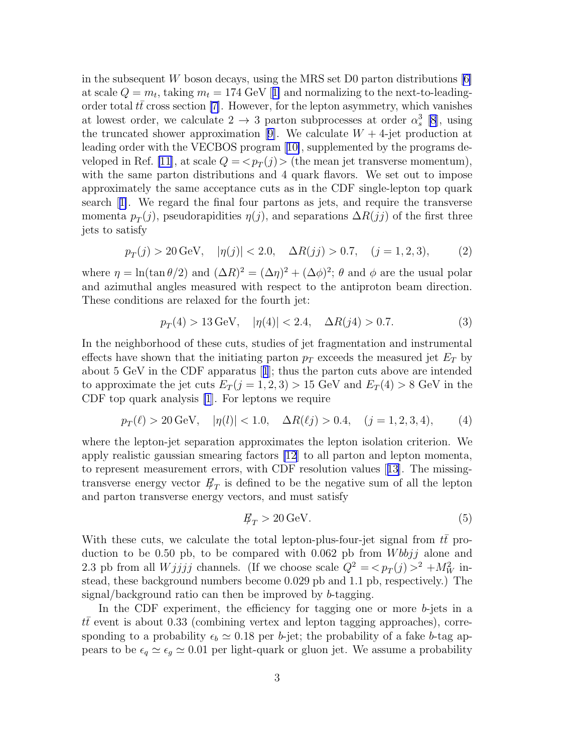in the subsequent W boson decays, using the MRS set D0 parton distributions  $[6]$ atscale  $Q = m_t$ , taking  $m_t = 174 \text{ GeV}$  [[1\]](#page-6-0) and normalizing to the next-to-leadingorder total  $t\bar{t}$  cross section [\[7\]](#page-6-0). However, for the lepton asymmetry, which vanishes at lowest order, we calculate  $2 \rightarrow 3$  parton subprocesses at order  $\alpha_s^3$  $s^3$  [\[8\]](#page-6-0), using thetruncated shower approximation [[9\]](#page-6-0). We calculate  $W + 4$ -jet production at leading order with the VECBOS program[[10\]](#page-6-0), supplemented by the programs de-veloped in Ref. [\[11](#page-6-0)], at scale  $Q = \langle p_T(j) \rangle$  (the mean jet transverse momentum), with the same parton distributions and 4 quark flavors. We set out to impose approximately the same acceptance cuts as in the CDF single-lepton top quark search[[1\]](#page-6-0). We regard the final four partons as jets, and require the transverse momenta  $p_T(j)$ , pseudorapidities  $\eta(j)$ , and separations  $\Delta R(jj)$  of the first three jets to satisfy

$$
p_T(j) > 20 \text{ GeV}, \quad |\eta(j)| < 2.0, \quad \Delta R(jj) > 0.7, \quad (j = 1, 2, 3),
$$
 (2)

where  $\eta = \ln(\tan \theta/2)$  and  $(\Delta R)^2 = (\Delta \eta)^2 + (\Delta \phi)^2$ ;  $\theta$  and  $\phi$  are the usual polar and azimuthal angles measured with respect to the antiproton beam direction. These conditions are relaxed for the fourth jet:

$$
p_T(4) > 13 \,\text{GeV}, \quad |\eta(4)| < 2.4, \quad \Delta R(j4) > 0.7. \tag{3}
$$

In the neighborhood of these cuts, studies of jet fragmentation and instrumental effects have shown that the initiating parton  $p<sub>T</sub>$  exceeds the measured jet  $E<sub>T</sub>$  by about 5 GeV in the CDF apparatus[[1](#page-6-0)]; thus the parton cuts above are intended to approximate the jet cuts  $E_T(j = 1, 2, 3) > 15$  GeV and  $E_T(4) > 8$  GeV in the CDF top quark analysis [\[1](#page-6-0)]. For leptons we require

$$
p_T(\ell) > 20 \,\text{GeV}, \quad |\eta(l)| < 1.0, \quad \Delta R(\ell j) > 0.4, \quad (j = 1, 2, 3, 4), \tag{4}
$$

where the lepton-jet separation approximates the lepton isolation criterion. We apply realistic gaussian smearing factors [\[12](#page-6-0)] to all parton and lepton momenta, to represent measurement errors, with CDF resolution values[[13](#page-6-0)]. The missingtransverse energy vector  $E_T$  is defined to be the negative sum of all the lepton and parton transverse energy vectors, and must satisfy

$$
\not\!\!E_T > 20 \,\mathrm{GeV}.\tag{5}
$$

With these cuts, we calculate the total lepton-plus-four-jet signal from  $t\bar{t}$  production to be 0.50 pb, to be compared with 0.062 pb from  $Wbbjj$  alone and 2.3 pb from all  $Wjjjj$  channels. (If we choose scale  $Q^2 = \langle p_T(j) \rangle^2 + M_W^2$  instead, these background numbers become 0.029 pb and 1.1 pb, respectively.) The signal/background ratio can then be improved by b-tagging.

In the CDF experiment, the efficiency for tagging one or more b-jets in a  $t\bar{t}$  event is about 0.33 (combining vertex and lepton tagging approaches), corresponding to a probability  $\epsilon_b \simeq 0.18$  per b-jet; the probability of a fake b-tag appears to be  $\epsilon_q \simeq \epsilon_g \simeq 0.01$  per light-quark or gluon jet. We assume a probability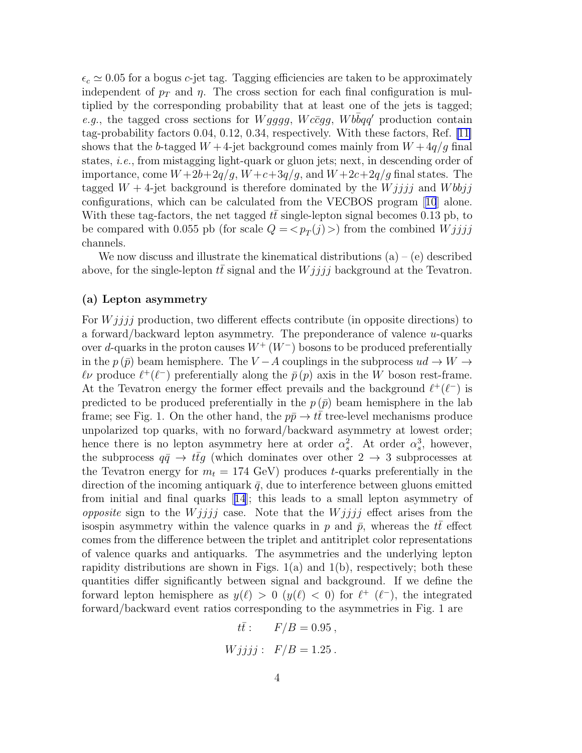$\epsilon_c \simeq 0.05$  for a bogus c-jet tag. Tagging efficiencies are taken to be approximately independent of  $p_T$  and  $\eta$ . The cross section for each final configuration is multiplied by the corresponding probability that at least one of the jets is tagged; e.g., the tagged cross sections for  $Wgggg$ ,  $Wc\bar{c}gg$ ,  $Wbbqq'$  production contain tag-probability factors 0.04, 0.12, 0.34, respectively. With these factors, Ref. [\[11\]](#page-6-0) shows that the b-tagged  $W + 4$ -jet background comes mainly from  $W + 4q/q$  final states, i.e., from mistagging light-quark or gluon jets; next, in descending order of importance, come  $W+2b+2q/g$ ,  $W+c+3q/g$ , and  $W+2c+2q/g$  final states. The tagged  $W + 4$ -jet background is therefore dominated by the  $Wjjjj$  and  $Wbbjj$ configurations, which can be calculated from the VECBOS program[[10](#page-6-0)] alone. With these tag-factors, the net tagged  $t\bar{t}$  single-lepton signal becomes 0.13 pb, to be compared with 0.055 pb (for scale  $Q = \langle p_T(j) \rangle$ ) from the combined  $Wjjjj$ channels.

We now discuss and illustrate the kinematical distributions  $(a) - (e)$  described above, for the single-lepton  $t\bar{t}$  signal and the  $Wjjjj$  background at the Tevatron.

### (a) Lepton asymmetry

For  $Wjjjj$  production, two different effects contribute (in opposite directions) to a forward/backward lepton asymmetry. The preponderance of valence  $u$ -quarks over d-quarks in the proton causes  $W^+(W^-)$  bosons to be produced preferentially in the  $p(\bar{p})$  beam hemisphere. The V – A couplings in the subprocess  $ud \rightarrow W \rightarrow$  $\ell\nu$  produce  $\ell^+(\ell^-)$  preferentially along the  $\bar{p}(p)$  axis in the W boson rest-frame. At the Tevatron energy the former effect prevails and the background  $\ell^+(\ell^-)$  is predicted to be produced preferentially in the  $p(\bar{p})$  beam hemisphere in the lab frame; see Fig. 1. On the other hand, the  $p\bar{p} \to t\bar{t}$  tree-level mechanisms produce unpolarized top quarks, with no forward/backward asymmetry at lowest order; hence there is no lepton asymmetry here at order  $\alpha_s^2$ <sup>2</sup><sub>s</sub>. At order  $\alpha_s^3$  $s^3$ , however, the subprocess  $q\bar{q} \to t\bar{t}g$  (which dominates over other  $2 \to 3$  subprocesses at the Tevatron energy for  $m_t = 174$  GeV) produces t-quarks preferentially in the direction of the incoming antiquark  $\bar{q}$ , due to interference between gluons emitted from initial and final quarks[[14](#page-6-0)]; this leads to a small lepton asymmetry of *opposite* sign to the *W* jijj case. Note that the *W* jijj effect arises from the isospin asymmetry within the valence quarks in p and  $\bar{p}$ , whereas the  $t\bar{t}$  effect comes from the difference between the triplet and antitriplet color representations of valence quarks and antiquarks. The asymmetries and the underlying lepton rapidity distributions are shown in Figs.  $1(a)$  and  $1(b)$ , respectively; both these quantities differ significantly between signal and background. If we define the forward lepton hemisphere as  $y(\ell) > 0$   $(y(\ell) < 0)$  for  $\ell^+$   $(\ell^-)$ , the integrated forward/backward event ratios corresponding to the asymmetries in Fig. 1 are

> $t\bar{t}$ :  $F/B = 0.95$ ,  $Wjjjj$ :  $F/B = 1.25$ .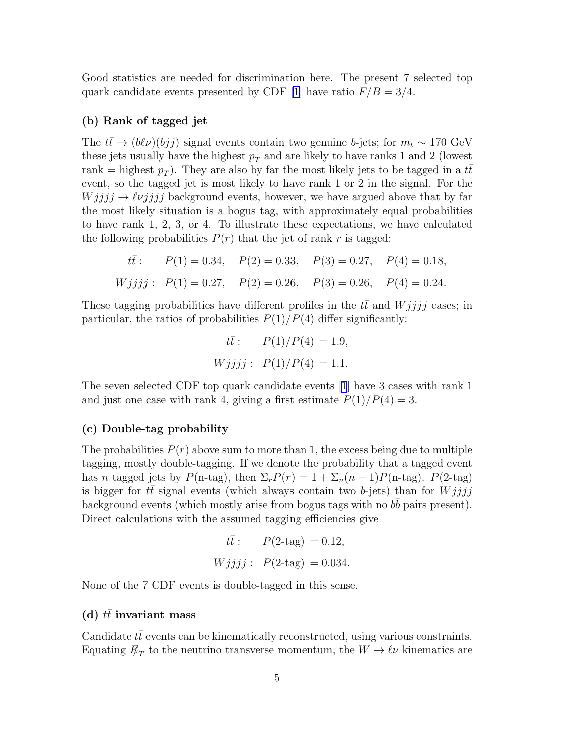Good statistics are needed for discrimination here. The present 7 selected top quark candidate events presented by CDF [\[1\]](#page-6-0) have ratio  $F/B = 3/4$ .

#### (b) Rank of tagged jet

The  $t\bar{t}$  →  $(b\ell\nu)(bjj)$  signal events contain two genuine b-jets; for  $m_t \sim 170 \text{ GeV}$ these jets usually have the highest  $p_T$  and are likely to have ranks 1 and 2 (lowest rank = highest  $p_T$ ). They are also by far the most likely jets to be tagged in a  $t\bar{t}$ event, so the tagged jet is most likely to have rank 1 or 2 in the signal. For the  $Wjjjj \rightarrow \ell \nu jjjj$  background events, however, we have argued above that by far the most likely situation is a bogus tag, with approximately equal probabilities to have rank 1, 2, 3, or 4. To illustrate these expectations, we have calculated the following probabilities  $P(r)$  that the jet of rank r is tagged:

$$
t\bar{t}
$$
:  $P(1) = 0.34$ ,  $P(2) = 0.33$ ,  $P(3) = 0.27$ ,  $P(4) = 0.18$ ,  
\n $Wjjjj$ :  $P(1) = 0.27$ ,  $P(2) = 0.26$ ,  $P(3) = 0.26$ ,  $P(4) = 0.24$ .

These tagging probabilities have different profiles in the  $t\bar{t}$  and  $Wjjjj$  cases; in particular, the ratios of probabilities  $P(1)/P(4)$  differ significantly:

$$
t\bar{t}
$$
:  $P(1)/P(4) = 1.9,$   
\n $Wjjjj$ :  $P(1)/P(4) = 1.1.$ 

The seven selected CDF top quark candidate events [\[1](#page-6-0)] have 3 cases with rank 1 and just one case with rank 4, giving a first estimate  $P(1)/P(4) = 3$ .

### (c) Double-tag probability

The probabilities  $P(r)$  above sum to more than 1, the excess being due to multiple tagging, mostly double-tagging. If we denote the probability that a tagged event has n tagged jets by  $P(\text{n-tag})$ , then  $\Sigma_r P(r) = 1 + \Sigma_n (n-1) P(\text{n-tag})$ .  $P(\text{2-tag})$ is bigger for  $t\bar{t}$  signal events (which always contain two b-jets) than for  $Wjjjj$ background events (which mostly arise from bogus tags with no  $b\bar{b}$  pairs present). Direct calculations with the assumed tagging efficiencies give

$$
t\bar{t}
$$
:  $P(2-\text{tag}) = 0.12,$   
 $Wjjjj$ :  $P(2-\text{tag}) = 0.034.$ 

None of the 7 CDF events is double-tagged in this sense.

#### (d)  $t\bar{t}$  invariant mass

Candidate  $tt$  events can be kinematically reconstructed, using various constraints. Equating  $\not\!\! E_T$  to the neutrino transverse momentum, the  $W \to \ell\nu$  kinematics are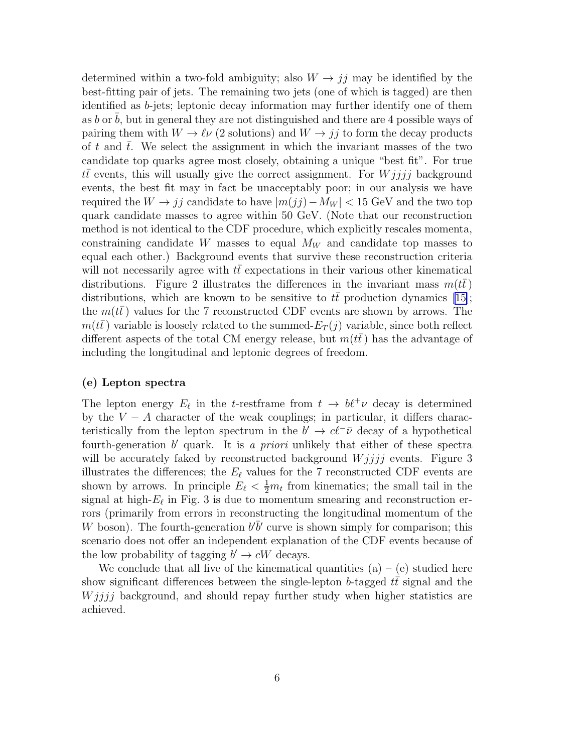determined within a two-fold ambiguity; also  $W \rightarrow jj$  may be identified by the best-fitting pair of jets. The remaining two jets (one of which is tagged) are then identified as b-jets; leptonic decay information may further identify one of them as  $b$  or  $b$ , but in general they are not distinguished and there are 4 possible ways of pairing them with  $W \to \ell \nu$  (2 solutions) and  $W \to jj$  to form the decay products of t and  $\bar{t}$ . We select the assignment in which the invariant masses of the two candidate top quarks agree most closely, obtaining a unique "best fit". For true  $t\bar{t}$  events, this will usually give the correct assignment. For  $Wjjjj$  background events, the best fit may in fact be unacceptably poor; in our analysis we have required the  $W \rightarrow jj$  candidate to have  $|m(j)-M_W| < 15$  GeV and the two top quark candidate masses to agree within 50 GeV. (Note that our reconstruction method is not identical to the CDF procedure, which explicitly rescales momenta, constraining candidate W masses to equal  $M_W$  and candidate top masses to equal each other.) Background events that survive these reconstruction criteria will not necessarily agree with  $tt$  expectations in their various other kinematical distributions. Figure 2 illustrates the differences in the invariant mass  $m(tt)$ distributions,which are known to be sensitive to  $t\bar{t}$  production dynamics [[15\]](#page-6-0); the  $m(t)$  values for the 7 reconstructed CDF events are shown by arrows. The  $m(t\bar{t})$  variable is loosely related to the summed- $E_T(j)$  variable, since both reflect different aspects of the total CM energy release, but  $m(tt)$  has the advantage of including the longitudinal and leptonic degrees of freedom.

#### (e) Lepton spectra

The lepton energy  $E_{\ell}$  in the t-restframe from  $t \to b\ell^{+}\nu$  decay is determined by the  $V - A$  character of the weak couplings; in particular, it differs characteristically from the lepton spectrum in the  $b' \rightarrow c \ell^{-} \bar{\nu}$  decay of a hypothetical fourth-generation  $b'$  quark. It is a priori unlikely that either of these spectra will be accurately faked by reconstructed background  $Wjjjj$  events. Figure 3 illustrates the differences; the  $E_{\ell}$  values for the 7 reconstructed CDF events are shown by arrows. In principle  $E_{\ell} < \frac{1}{2}m_t$  from kinematics; the small tail in the signal at high- $E_{\ell}$  in Fig. 3 is due to momentum smearing and reconstruction errors (primarily from errors in reconstructing the longitudinal momentum of the W boson). The fourth-generation  $b^{\prime}\bar{b}^{\prime}$  curve is shown simply for comparison; this scenario does not offer an independent explanation of the CDF events because of the low probability of tagging  $b' \to cW$  decays.

We conclude that all five of the kinematical quantities  $(a) - (e)$  studied here show significant differences between the single-lepton b-tagged  $t\bar{t}$  signal and the  $Wjjjj$  background, and should repay further study when higher statistics are achieved.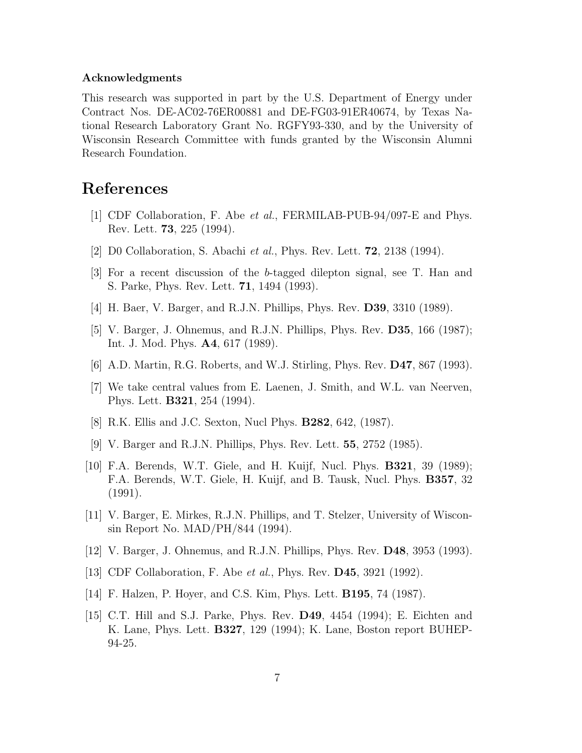#### <span id="page-6-0"></span>Acknowledgments

This research was supported in part by the U.S. Department of Energy under Contract Nos. DE-AC02-76ER00881 and DE-FG03-91ER40674, by Texas National Research Laboratory Grant No. RGFY93-330, and by the University of Wisconsin Research Committee with funds granted by the Wisconsin Alumni Research Foundation.

## References

- [1] CDF Collaboration, F. Abe et al., FERMILAB-PUB-94/097-E and Phys. Rev. Lett. 73, 225 (1994).
- [2] D0 Collaboration, S. Abachi et al., Phys. Rev. Lett. 72, 2138 (1994).
- [3] For a recent discussion of the b-tagged dilepton signal, see T. Han and S. Parke, Phys. Rev. Lett. 71, 1494 (1993).
- [4] H. Baer, V. Barger, and R.J.N. Phillips, Phys. Rev. D39, 3310 (1989).
- [5] V. Barger, J. Ohnemus, and R.J.N. Phillips, Phys. Rev. D35, 166 (1987); Int. J. Mod. Phys. A4, 617 (1989).
- [6] A.D. Martin, R.G. Roberts, and W.J. Stirling, Phys. Rev. D47, 867 (1993).
- [7] We take central values from E. Laenen, J. Smith, and W.L. van Neerven, Phys. Lett. B321, 254 (1994).
- [8] R.K. Ellis and J.C. Sexton, Nucl Phys. B282, 642, (1987).
- [9] V. Barger and R.J.N. Phillips, Phys. Rev. Lett. 55, 2752 (1985).
- [10] F.A. Berends, W.T. Giele, and H. Kuijf, Nucl. Phys. B321, 39 (1989); F.A. Berends, W.T. Giele, H. Kuijf, and B. Tausk, Nucl. Phys. B357, 32 (1991).
- [11] V. Barger, E. Mirkes, R.J.N. Phillips, and T. Stelzer, University of Wisconsin Report No. MAD/PH/844 (1994).
- [12] V. Barger, J. Ohnemus, and R.J.N. Phillips, Phys. Rev. D48, 3953 (1993).
- [13] CDF Collaboration, F. Abe et al., Phys. Rev. D45, 3921 (1992).
- [14] F. Halzen, P. Hoyer, and C.S. Kim, Phys. Lett. B195, 74 (1987).
- [15] C.T. Hill and S.J. Parke, Phys. Rev. D49, 4454 (1994); E. Eichten and K. Lane, Phys. Lett. B327, 129 (1994); K. Lane, Boston report BUHEP-94-25.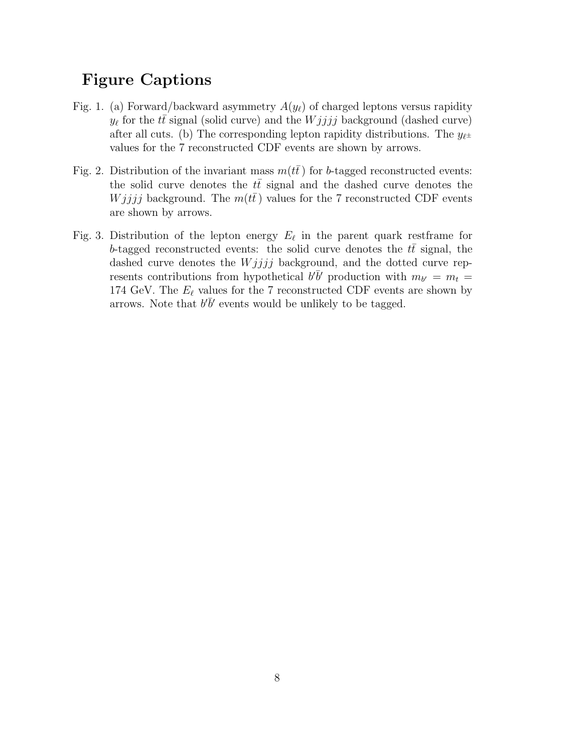# Figure Captions

- Fig. 1. (a) Forward/backward asymmetry  $A(y_\ell)$  of charged leptons versus rapidity  $y_{\ell}$  for the  $t\bar{t}$  signal (solid curve) and the  $Wjjjj$  background (dashed curve) after all cuts. (b) The corresponding lepton rapidity distributions. The  $y_{\ell}$ values for the 7 reconstructed CDF events are shown by arrows.
- Fig. 2. Distribution of the invariant mass  $m(t)$  for b-tagged reconstructed events: the solid curve denotes the  $t\bar{t}$  signal and the dashed curve denotes the *W jjjj* background. The  $m(t\bar{t})$  values for the 7 reconstructed CDF events are shown by arrows.
- Fig. 3. Distribution of the lepton energy  $E_{\ell}$  in the parent quark restframe for b-tagged reconstructed events: the solid curve denotes the  $t\bar{t}$  signal, the dashed curve denotes the  $Wjjjj$  background, and the dotted curve represents contributions from hypothetical  $b' \bar{b}'$  production with  $m_{b'} = m_t =$ 174 GeV. The  $E_{\ell}$  values for the 7 reconstructed CDF events are shown by arrows. Note that  $b'\bar{b}'$  events would be unlikely to be tagged.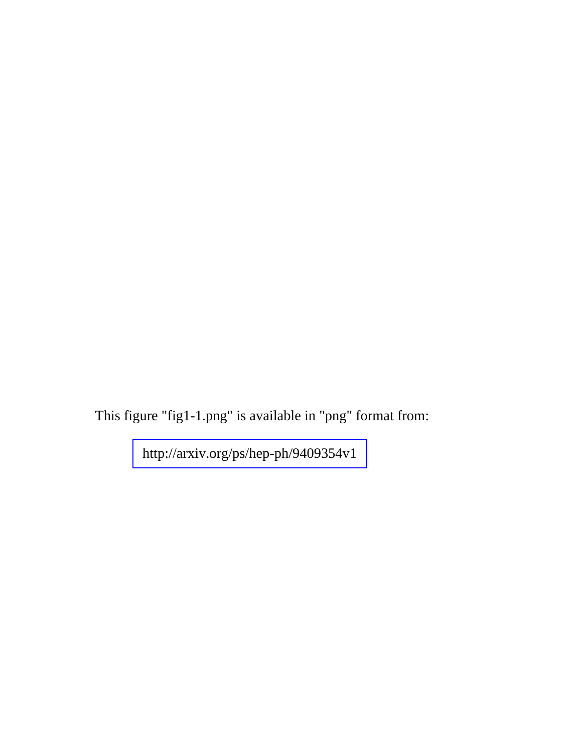This figure "fig1-1.png" is available in "png" format from:

<http://arxiv.org/ps/hep-ph/9409354v1>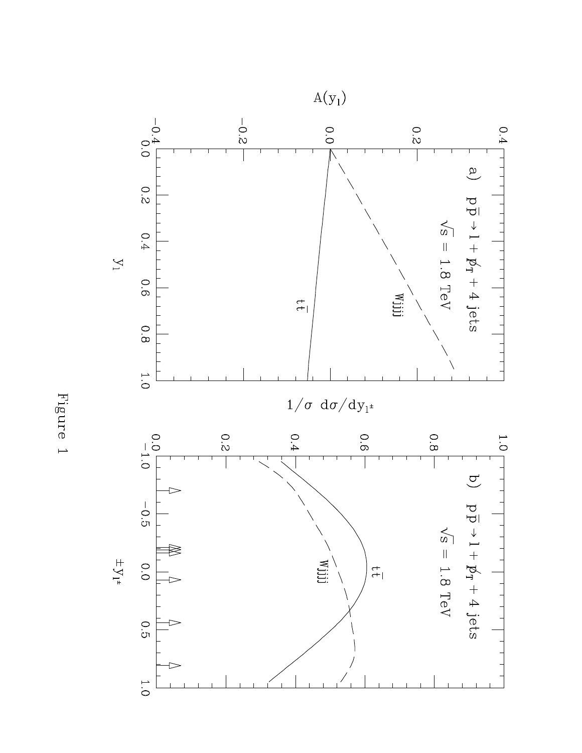

Figure 1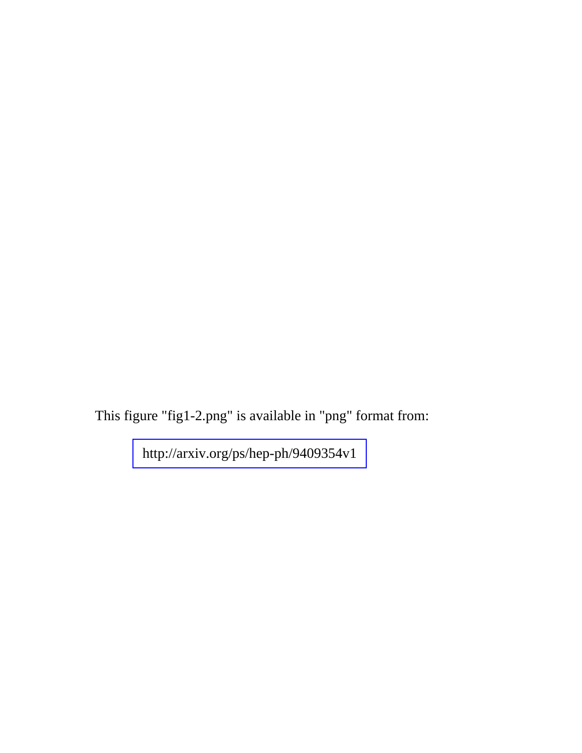This figure "fig1-2.png" is available in "png" format from:

<http://arxiv.org/ps/hep-ph/9409354v1>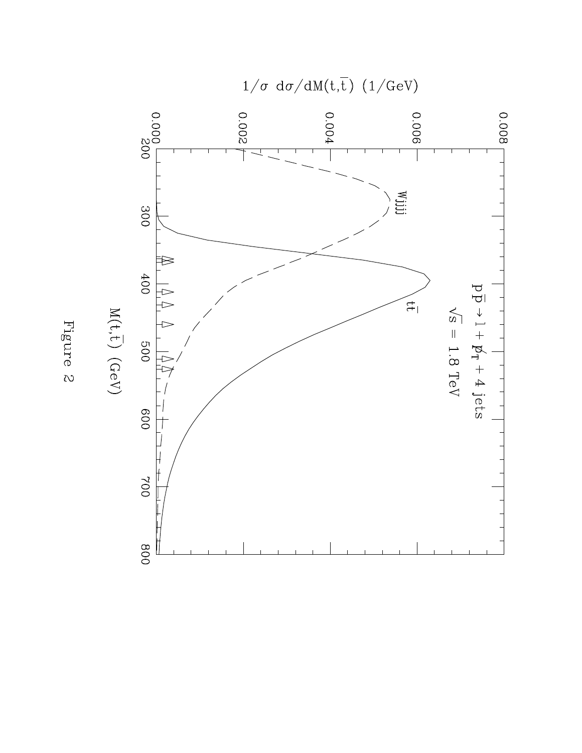

Figure $\emph{2}$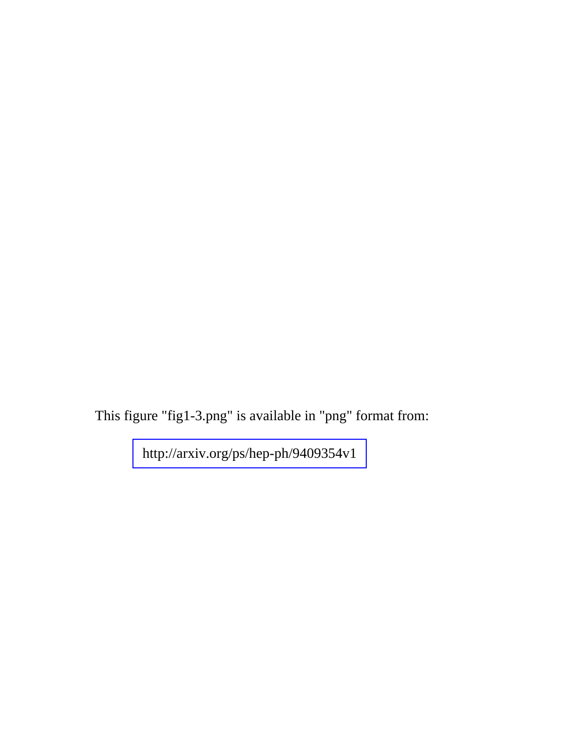This figure "fig1-3.png" is available in "png" format from:

<http://arxiv.org/ps/hep-ph/9409354v1>